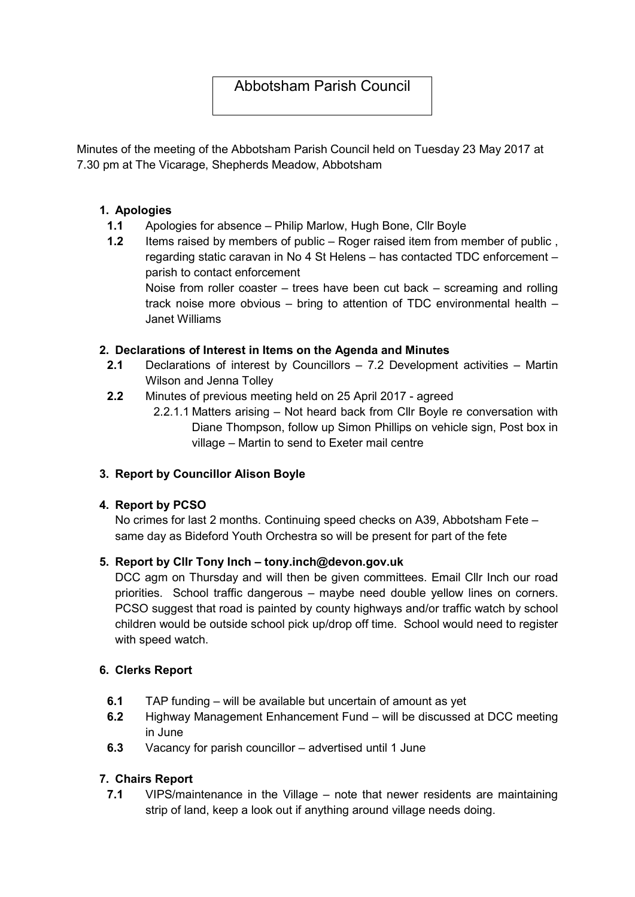# Abbotsham Parish Council

Minutes of the meeting of the Abbotsham Parish Council held on Tuesday 23 May 2017 at 7.30 pm at The Vicarage, Shepherds Meadow, Abbotsham

## 1. Apologies

- 1.1 Apologies for absence Philip Marlow, Hugh Bone, Cllr Boyle
- 1.2 Items raised by members of public Roger raised item from member of public. regarding static caravan in No 4 St Helens – has contacted TDC enforcement – parish to contact enforcement Noise from roller coaster – trees have been cut back – screaming and rolling

track noise more obvious – bring to attention of TDC environmental health – Janet Williams

## 2. Declarations of Interest in Items on the Agenda and Minutes

- 2.1 Declarations of interest by Councillors 7.2 Development activities Martin Wilson and Jenna Tolley
- 2.2 Minutes of previous meeting held on 25 April 2017 agreed
	- 2.2.1.1 Matters arising Not heard back from Cllr Boyle re conversation with Diane Thompson, follow up Simon Phillips on vehicle sign, Post box in village – Martin to send to Exeter mail centre

# 3. Report by Councillor Alison Boyle

#### 4. Report by PCSO

No crimes for last 2 months. Continuing speed checks on A39, Abbotsham Fete – same day as Bideford Youth Orchestra so will be present for part of the fete

# 5. Report by Cllr Tony Inch – tony.inch@devon.gov.uk

DCC agm on Thursday and will then be given committees. Email Cllr Inch our road priorities. School traffic dangerous – maybe need double yellow lines on corners. PCSO suggest that road is painted by county highways and/or traffic watch by school children would be outside school pick up/drop off time. School would need to register with speed watch.

#### 6. Clerks Report

- 6.1 TAP funding will be available but uncertain of amount as yet
- 6.2 Highway Management Enhancement Fund will be discussed at DCC meeting in June
- 6.3 Vacancy for parish councillor advertised until 1 June

# 7. Chairs Report

7.1 VIPS/maintenance in the Village – note that newer residents are maintaining strip of land, keep a look out if anything around village needs doing.